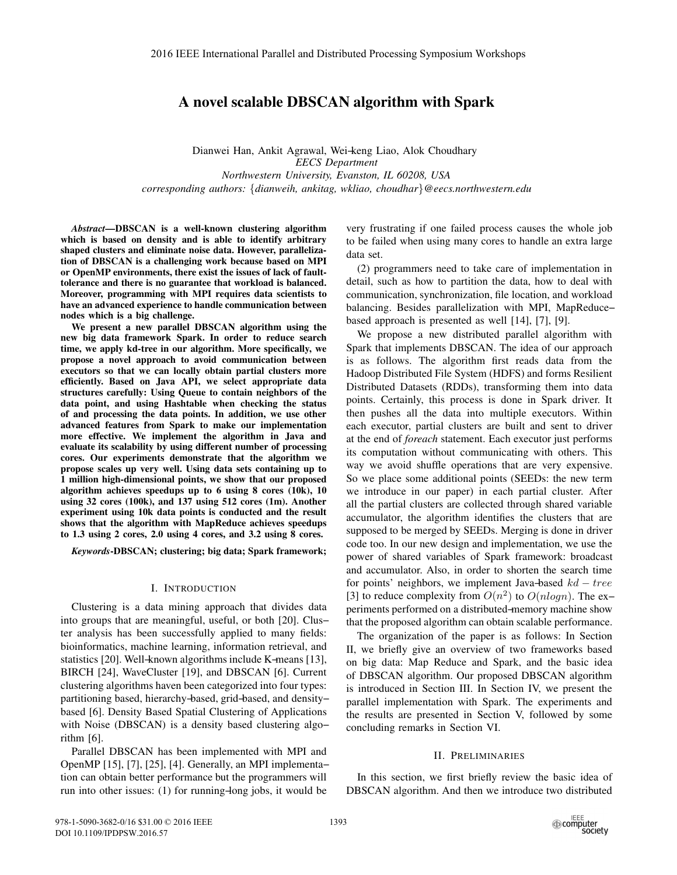# **A novel scalable DBSCAN algorithm with Spark**

Dianwei Han, Ankit Agrawal, Wei−keng Liao, Alok Choudhary *EECS Department Northwestern University, Evanston, IL 60208, USA corresponding authors:* {*dianweih, ankitag, wkliao, choudhar*}*@eecs.northwestern.edu*

*Abstract***—DBSCAN is a well-known clustering algorithm which is based on density and is able to identify arbitrary shaped clusters and eliminate noise data. However, parallelization of DBSCAN is a challenging work because based on MPI or OpenMP environments, there exist the issues of lack of faulttolerance and there is no guarantee that workload is balanced. Moreover, programming with MPI requires data scientists to have an advanced experience to handle communication between nodes which is a big challenge.**

**We present a new parallel DBSCAN algorithm using the new big data framework Spark. In order to reduce search time, we apply kd-tree in our algorithm. More specifically, we propose a novel approach to avoid communication between executors so that we can locally obtain partial clusters more efficiently. Based on Java API, we select appropriate data structures carefully: Using Queue to contain neighbors of the data point, and using Hashtable when checking the status of and processing the data points. In addition, we use other advanced features from Spark to make our implementation more effective. We implement the algorithm in Java and evaluate its scalability by using different number of processing cores. Our experiments demonstrate that the algorithm we propose scales up very well. Using data sets containing up to 1 million high-dimensional points, we show that our proposed algorithm achieves speedups up to 6 using 8 cores (10k), 10 using 32 cores (100k), and 137 using 512 cores (1m). Another experiment using 10k data points is conducted and the result shows that the algorithm with MapReduce achieves speedups to 1.3 using 2 cores, 2.0 using 4 cores, and 3.2 using 8 cores.**

*Keywords***-DBSCAN; clustering; big data; Spark framework;**

#### I. INTRODUCTION

Clustering is a data mining approach that divides data into groups that are meaningful, useful, or both [20]. Clus− ter analysis has been successfully applied to many fields: bioinformatics, machine learning, information retrieval, and statistics [20]. Well−known algorithms include K−means [13], BIRCH [24], WaveCluster [19], and DBSCAN [6]. Current clustering algorithms haven been categorized into four types: partitioning based, hierarchy−based, grid−based, and density− based [6]. Density Based Spatial Clustering of Applications with Noise (DBSCAN) is a density based clustering algo– rithm [6].

Parallel DBSCAN has been implemented with MPI and OpenMP [15], [7], [25], [4]. Generally, an MPI implementa− tion can obtain better performance but the programmers will run into other issues: (1) for running−long jobs, it would be

very frustrating if one failed process causes the whole job to be failed when using many cores to handle an extra large data set.

(2) programmers need to take care of implementation in detail, such as how to partition the data, how to deal with communication, synchronization, file location, and workload balancing. Besides parallelization with MPI, MapReduce− based approach is presented as well [14], [7], [9].

We propose a new distributed parallel algorithm with Spark that implements DBSCAN. The idea of our approach is as follows. The algorithm first reads data from the Hadoop Distributed File System (HDFS) and forms Resilient Distributed Datasets (RDDs), transforming them into data points. Certainly, this process is done in Spark driver. It then pushes all the data into multiple executors. Within each executor, partial clusters are built and sent to driver at the end of *foreach* statement. Each executor just performs its computation without communicating with others. This way we avoid shuffle operations that are very expensive. So we place some additional points (SEEDs: the new term we introduce in our paper) in each partial cluster. After all the partial clusters are collected through shared variable accumulator, the algorithm identifies the clusters that are supposed to be merged by SEEDs. Merging is done in driver code too. In our new design and implementation, we use the power of shared variables of Spark framework: broadcast and accumulator. Also, in order to shorten the search time for points' neighbors, we implement Java-based  $kd - tree$ [3] to reduce complexity from  $O(n^2)$  to  $O(n \log n)$ . The ex− periments performed on a distributed−memory machine show that the proposed algorithm can obtain scalable performance.

The organization of the paper is as follows: In Section II, we briefly give an overview of two frameworks based on big data: Map Reduce and Spark, and the basic idea of DBSCAN algorithm. Our proposed DBSCAN algorithm is introduced in Section III. In Section IV, we present the parallel implementation with Spark. The experiments and the results are presented in Section V, followed by some concluding remarks in Section VI.

### II. PRELIMINARIES

In this section, we first briefly review the basic idea of DBSCAN algorithm. And then we introduce two distributed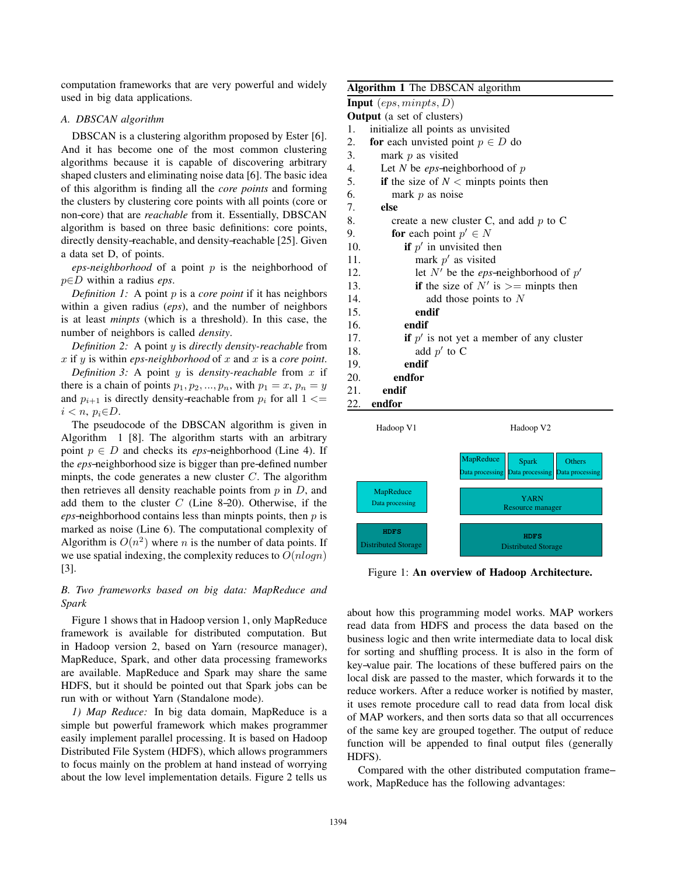computation frameworks that are very powerful and widely used in big data applications.

#### *A. DBSCAN algorithm*

DBSCAN is a clustering algorithm proposed by Ester [6]. And it has become one of the most common clustering algorithms because it is capable of discovering arbitrary shaped clusters and eliminating noise data [6]. The basic idea of this algorithm is finding all the *core points* and forming the clusters by clustering core points with all points (core or non−core) that are *reachable* from it. Essentially, DBSCAN algorithm is based on three basic definitions: core points, directly density−reachable, and density−reachable [25]. Given a data set D, of points.

 $eps-neighborhood$  of a point  $p$  is the neighborhood of p∈D within a radius *eps*.

*Definition 1:* A point *p* is a *core point* if it has neighbors within a given radius (*eps*), and the number of neighbors is at least *minpts* (which is a threshold). In this case, the number of neighbors is called *density*.

*Definition 2:* A point y is *directly density-reachable* from  $x$  if  $y$  is within *eps-neighborhood* of  $x$  and  $x$  is a *core point*.

*Definition 3:* A point y is *density-reachable* from x if there is a chain of points  $p_1, p_2, ..., p_n$ , with  $p_1 = x, p_n = y$ and  $p_{i+1}$  is directly density-reachable from  $p_i$  for all  $1 \leq$  $i < n, p_i \in D$ .

The pseudocode of the DBSCAN algorithm is given in Algorithm 1 [8]. The algorithm starts with an arbitrary point p ∈ D and checks its *eps*−neighborhood (Line 4). If the *eps*−neighborhood size is bigger than pre−defined number minpts, the code generates a new cluster  $C$ . The algorithm then retrieves all density reachable points from  $p$  in  $D$ , and add them to the cluster  $C$  (Line 8–20). Otherwise, if the *eps*→neighborhood contains less than minpts points, then *p* is marked as noise (Line 6). The computational complexity of Algorithm is  $O(n^2)$  where *n* is the number of data points. If we use spatial indexing, the complexity reduces to  $O(n \log n)$ [3].

# *B. Two frameworks based on big data: MapReduce and Spark*

Figure 1 shows that in Hadoop version 1, only MapReduce framework is available for distributed computation. But in Hadoop version 2, based on Yarn (resource manager), MapReduce, Spark, and other data processing frameworks are available. MapReduce and Spark may share the same HDFS, but it should be pointed out that Spark jobs can be run with or without Yarn (Standalone mode).

*1) Map Reduce:* In big data domain, MapReduce is a simple but powerful framework which makes programmer easily implement parallel processing. It is based on Hadoop Distributed File System (HDFS), which allows programmers to focus mainly on the problem at hand instead of worrying about the low level implementation details. Figure 2 tells us

| Algorithm 1 The DBSCAN algorithm |  |  |  |  |
|----------------------------------|--|--|--|--|
|----------------------------------|--|--|--|--|

# **Input** (eps, minpts, D)

**Output** (a set of clusters)

- 1. initialize all points as unvisited
- 2. **for** each unvisted point  $p \in D$  do
- 3. mark p as visited 4. Let *N* be *eps*−neighborhood of p
- 5. **if** the size of  $N <$  minpts points then
- 6. mark  $p$  as noise

7. **else**

| 8.  | create a new cluster C, and add $p$ to C  |
|-----|-------------------------------------------|
| 9.  | for each point $p' \in N$                 |
| 10. | <b>if</b> $p'$ in unvisited then          |
| 11. | mark $p'$ as visited                      |
| 12. | let N' be the eps-neighborhood of $p'$    |
| 13. | if the size of $N'$ is $\geq$ minpts then |
| 14. | add those points to $N$                   |
|     |                                           |

# 15. **endif**

- 16. **endif**
- 17. **if**  $p'$  is not yet a member of any cluster
- 18. add  $p'$  to C
- 19. **endif**
- 20. **endfor**
- 21. **endif**
- 22. **endfor**



Figure 1: **An overview of Hadoop Architecture.**

about how this programming model works. MAP workers read data from HDFS and process the data based on the business logic and then write intermediate data to local disk for sorting and shuffling process. It is also in the form of key−value pair. The locations of these buffered pairs on the local disk are passed to the master, which forwards it to the reduce workers. After a reduce worker is notified by master, it uses remote procedure call to read data from local disk of MAP workers, and then sorts data so that all occurrences of the same key are grouped together. The output of reduce function will be appended to final output files (generally HDFS).

Compared with the other distributed computation frame− work, MapReduce has the following advantages: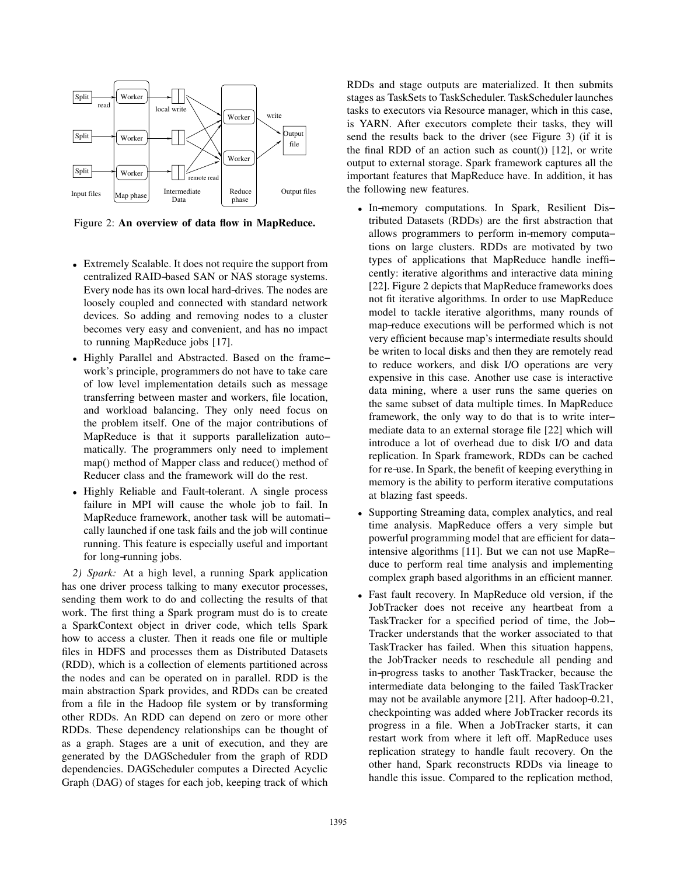

Figure 2: **An overview of data flow in MapReduce.**

- Extremely Scalable. It does not require the support from centralized RAID−based SAN or NAS storage systems. Every node has its own local hard−drives. The nodes are loosely coupled and connected with standard network devices. So adding and removing nodes to a cluster becomes very easy and convenient, and has no impact to running MapReduce jobs [17].
- Highly Parallel and Abstracted. Based on the frame− work's principle, programmers do not have to take care of low level implementation details such as message transferring between master and workers, file location, and workload balancing. They only need focus on the problem itself. One of the major contributions of MapReduce is that it supports parallelization auto− matically. The programmers only need to implement map() method of Mapper class and reduce() method of Reducer class and the framework will do the rest.
- Highly Reliable and Fault−tolerant. A single process failure in MPI will cause the whole job to fail. In MapReduce framework, another task will be automati− cally launched if one task fails and the job will continue running. This feature is especially useful and important for long−running jobs.

*2) Spark:* At a high level, a running Spark application has one driver process talking to many executor processes, sending them work to do and collecting the results of that work. The first thing a Spark program must do is to create a SparkContext object in driver code, which tells Spark how to access a cluster. Then it reads one file or multiple files in HDFS and processes them as Distributed Datasets (RDD), which is a collection of elements partitioned across the nodes and can be operated on in parallel. RDD is the main abstraction Spark provides, and RDDs can be created from a file in the Hadoop file system or by transforming other RDDs. An RDD can depend on zero or more other RDDs. These dependency relationships can be thought of as a graph. Stages are a unit of execution, and they are generated by the DAGScheduler from the graph of RDD dependencies. DAGScheduler computes a Directed Acyclic Graph (DAG) of stages for each job, keeping track of which

RDDs and stage outputs are materialized. It then submits stages as TaskSets to TaskScheduler. TaskScheduler launches tasks to executors via Resource manager, which in this case, is YARN. After executors complete their tasks, they will send the results back to the driver (see Figure 3) (if it is the final RDD of an action such as count()) [12], or write output to external storage. Spark framework captures all the important features that MapReduce have. In addition, it has the following new features.

- In−memory computations. In Spark, Resilient Dis− tributed Datasets (RDDs) are the first abstraction that allows programmers to perform in−memory computa− tions on large clusters. RDDs are motivated by two types of applications that MapReduce handle ineffi− cently: iterative algorithms and interactive data mining [22]. Figure 2 depicts that MapReduce frameworks does not fit iterative algorithms. In order to use MapReduce model to tackle iterative algorithms, many rounds of map−reduce executions will be performed which is not very efficient because map's intermediate results should be writen to local disks and then they are remotely read to reduce workers, and disk I/O operations are very expensive in this case. Another use case is interactive data mining, where a user runs the same queries on the same subset of data multiple times. In MapReduce framework, the only way to do that is to write inter− mediate data to an external storage file [22] which will introduce a lot of overhead due to disk I/O and data replication. In Spark framework, RDDs can be cached for re−use. In Spark, the benefit of keeping everything in memory is the ability to perform iterative computations at blazing fast speeds.
- Supporting Streaming data, complex analytics, and real time analysis. MapReduce offers a very simple but powerful programming model that are efficient for data− intensive algorithms [11]. But we can not use MapRe− duce to perform real time analysis and implementing complex graph based algorithms in an efficient manner.
- Fast fault recovery. In MapReduce old version, if the JobTracker does not receive any heartbeat from a TaskTracker for a specified period of time, the Job− Tracker understands that the worker associated to that TaskTracker has failed. When this situation happens, the JobTracker needs to reschedule all pending and in−progress tasks to another TaskTracker, because the intermediate data belonging to the failed TaskTracker may not be available anymore [21]. After hadoop−0.21, checkpointing was added where JobTracker records its progress in a file. When a JobTracker starts, it can restart work from where it left off. MapReduce uses replication strategy to handle fault recovery. On the other hand, Spark reconstructs RDDs via lineage to handle this issue. Compared to the replication method,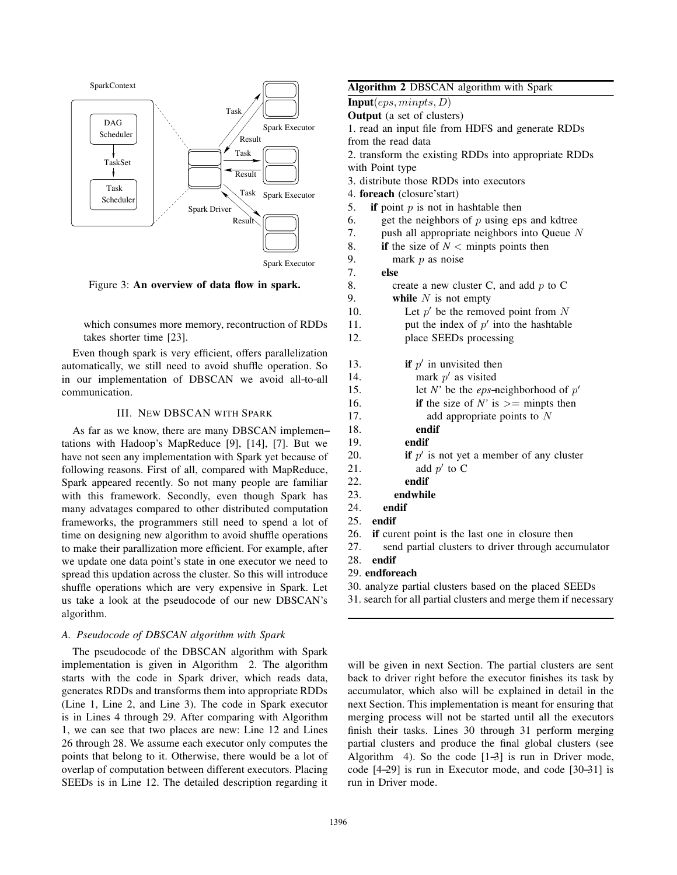

Spark Executor

Figure 3: **An overview of data flow in spark.**

which consumes more memory, recontruction of RDDs takes shorter time [23].

Even though spark is very efficient, offers parallelization automatically, we still need to avoid shuffle operation. So in our implementation of DBSCAN we avoid all−to−all communication.

#### III. NEW DBSCAN WITH SPARK

As far as we know, there are many DBSCAN implemen− tations with Hadoop's MapReduce [9], [14], [7]. But we have not seen any implementation with Spark yet because of following reasons. First of all, compared with MapReduce, Spark appeared recently. So not many people are familiar with this framework. Secondly, even though Spark has many advatages compared to other distributed computation frameworks, the programmers still need to spend a lot of time on designing new algorithm to avoid shuffle operations to make their parallization more efficient. For example, after we update one data point's state in one executor we need to spread this updation across the cluster. So this will introduce shuffle operations which are very expensive in Spark. Let us take a look at the pseudocode of our new DBSCAN's algorithm.

#### *A. Pseudocode of DBSCAN algorithm with Spark*

The pseudocode of the DBSCAN algorithm with Spark implementation is given in Algorithm 2. The algorithm starts with the code in Spark driver, which reads data, generates RDDs and transforms them into appropriate RDDs (Line 1, Line 2, and Line 3). The code in Spark executor is in Lines 4 through 29. After comparing with Algorithm 1, we can see that two places are new: Line 12 and Lines 26 through 28. We assume each executor only computes the points that belong to it. Otherwise, there would be a lot of overlap of computation between different executors. Placing SEEDs is in Line 12. The detailed description regarding it

**Algorithm 2** DBSCAN algorithm with Spark **Input**(eps, minpts, D) **Output** (a set of clusters) 1. read an input file from HDFS and generate RDDs from the read data 2. transform the existing RDDs into appropriate RDDs with Point type 3. distribute those RDDs into executors 4. **foreach** (closure'start) 5. **if** point  $p$  is not in hashtable then 6. get the neighbors of  $p$  using eps and kdtree 7. push all appropriate neighbors into Queue N 8. **if** the size of  $N <$  minpts points then 9. mark  $p$  as noise 7. **else** 8. create a new cluster C, and add  $p$  to C 9. **while** N is not empty 10. Let  $p'$  be the removed point from N 11. put the index of  $p'$  into the hashtable 12. place SEEDs processing 13. **if**  $p'$  in unvisited then 14. mark  $p'$  as visited 15. let *N'* be the *eps*−neighborhood of p- 16. **if** the size of *N'* is  $>=$  minpts then 17. add appropriate points to N 18. **endif** 19. **endif** 20. **if**  $p'$  is not yet a member of any cluster 21. add  $p'$  to C 22. **endif** 23. **endwhile** 24. **endif** 25. **endif** 26. **if** curent point is the last one in closure then 27. send partial clusters to driver through accumulator 28. **endif** 29. **endforeach** 30. analyze partial clusters based on the placed SEEDs

31. search for all partial clusters and merge them if necessary

will be given in next Section. The partial clusters are sent back to driver right before the executor finishes its task by accumulator, which also will be explained in detail in the next Section. This implementation is meant for ensuring that merging process will not be started until all the executors finish their tasks. Lines 30 through 31 perform merging partial clusters and produce the final global clusters (see Algorithm 4). So the code [1−3] is run in Driver mode, code [4−29] is run in Executor mode, and code [30−31] is run in Driver mode.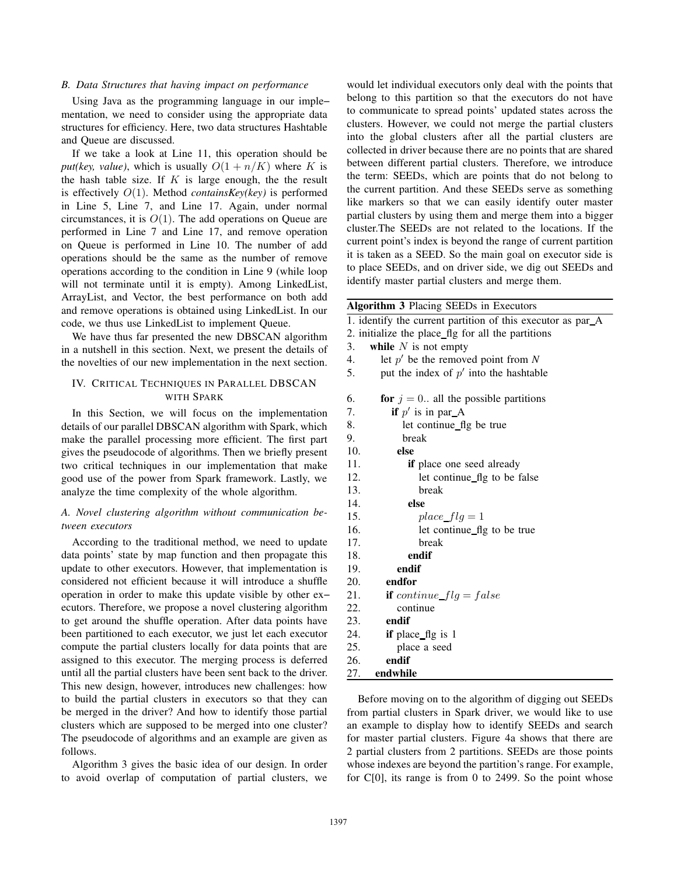## *B. Data Structures that having impact on performance*

Using Java as the programming language in our imple− mentation, we need to consider using the appropriate data structures for efficiency. Here, two data structures Hashtable and Queue are discussed.

If we take a look at Line 11, this operation should be *put(key, value)*, which is usually  $O(1 + n/K)$  where K is the hash table size. If  $K$  is large enough, the the result is effectively O(1). Method *containsKey(key)* is performed in Line 5, Line 7, and Line 17. Again, under normal circumstances, it is  $O(1)$ . The add operations on Queue are performed in Line 7 and Line 17, and remove operation on Queue is performed in Line 10. The number of add operations should be the same as the number of remove operations according to the condition in Line 9 (while loop will not terminate until it is empty). Among LinkedList, ArrayList, and Vector, the best performance on both add and remove operations is obtained using LinkedList. In our code, we thus use LinkedList to implement Queue.

We have thus far presented the new DBSCAN algorithm in a nutshell in this section. Next, we present the details of the novelties of our new implementation in the next section.

## IV. CRITICAL TECHNIQUES IN PARALLEL DBSCAN WITH SPARK

In this Section, we will focus on the implementation details of our parallel DBSCAN algorithm with Spark, which make the parallel processing more efficient. The first part gives the pseudocode of algorithms. Then we briefly present two critical techniques in our implementation that make good use of the power from Spark framework. Lastly, we analyze the time complexity of the whole algorithm.

## *A. Novel clustering algorithm without communication between executors*

According to the traditional method, we need to update data points' state by map function and then propagate this update to other executors. However, that implementation is considered not efficient because it will introduce a shuffle operation in order to make this update visible by other ex− ecutors. Therefore, we propose a novel clustering algorithm to get around the shuffle operation. After data points have been partitioned to each executor, we just let each executor compute the partial clusters locally for data points that are assigned to this executor. The merging process is deferred until all the partial clusters have been sent back to the driver. This new design, however, introduces new challenges: how to build the partial clusters in executors so that they can be merged in the driver? And how to identify those partial clusters which are supposed to be merged into one cluster? The pseudocode of algorithms and an example are given as follows.

Algorithm 3 gives the basic idea of our design. In order to avoid overlap of computation of partial clusters, we

would let individual executors only deal with the points that belong to this partition so that the executors do not have to communicate to spread points' updated states across the clusters. However, we could not merge the partial clusters into the global clusters after all the partial clusters are collected in driver because there are no points that are shared between different partial clusters. Therefore, we introduce the term: SEEDs, which are points that do not belong to the current partition. And these SEEDs serve as something like markers so that we can easily identify outer master partial clusters by using them and merge them into a bigger cluster.The SEEDs are not related to the locations. If the current point's index is beyond the range of current partition it is taken as a SEED. So the main goal on executor side is to place SEEDs, and on driver side, we dig out SEEDs and identify master partial clusters and merge them.

| <b>Algorithm 3 Placing SEEDs in Executors</b>               |  |  |  |
|-------------------------------------------------------------|--|--|--|
| 1. identify the current partition of this executor as par_A |  |  |  |
| 2. initialize the place_flg for all the partitions          |  |  |  |
| 3.<br>while $N$ is not empty                                |  |  |  |
| 4.<br>let $p'$ be the removed point from N                  |  |  |  |
| 5.<br>put the index of $p'$ into the hashtable              |  |  |  |
|                                                             |  |  |  |
| 6.<br>for $j = 0$ . all the possible partitions             |  |  |  |
| 7.<br><b>if</b> $p'$ is in par <sub>_A</sub>                |  |  |  |
| 8.<br>let continue_flg be true                              |  |  |  |
| 9.<br>break                                                 |  |  |  |
| 10.<br>else                                                 |  |  |  |
| 11.<br>if place one seed already                            |  |  |  |
| 12.<br>let continue flg to be false                         |  |  |  |
| 13.<br>break                                                |  |  |  |
| 14.<br>else                                                 |  |  |  |
| 15.<br>$place\_flg = 1$                                     |  |  |  |
| 16.<br>let continue flg to be true                          |  |  |  |
| 17.<br>break                                                |  |  |  |
| 18.<br>endif                                                |  |  |  |
| 19.<br>endif                                                |  |  |  |
| endfor<br>20.                                               |  |  |  |
| 21.<br><b>if</b> continue $flg = false$                     |  |  |  |
| 22.<br>continue                                             |  |  |  |
| 23.<br>endif                                                |  |  |  |
| 24.<br><b>if</b> place $\text{fig}$ is 1                    |  |  |  |
| 25.<br>place a seed                                         |  |  |  |
| 26.<br>endif                                                |  |  |  |
| 27.<br>endwhile                                             |  |  |  |

Before moving on to the algorithm of digging out SEEDs from partial clusters in Spark driver, we would like to use an example to display how to identify SEEDs and search for master partial clusters. Figure 4a shows that there are 2 partial clusters from 2 partitions. SEEDs are those points whose indexes are beyond the partition's range. For example, for C[0], its range is from 0 to 2499. So the point whose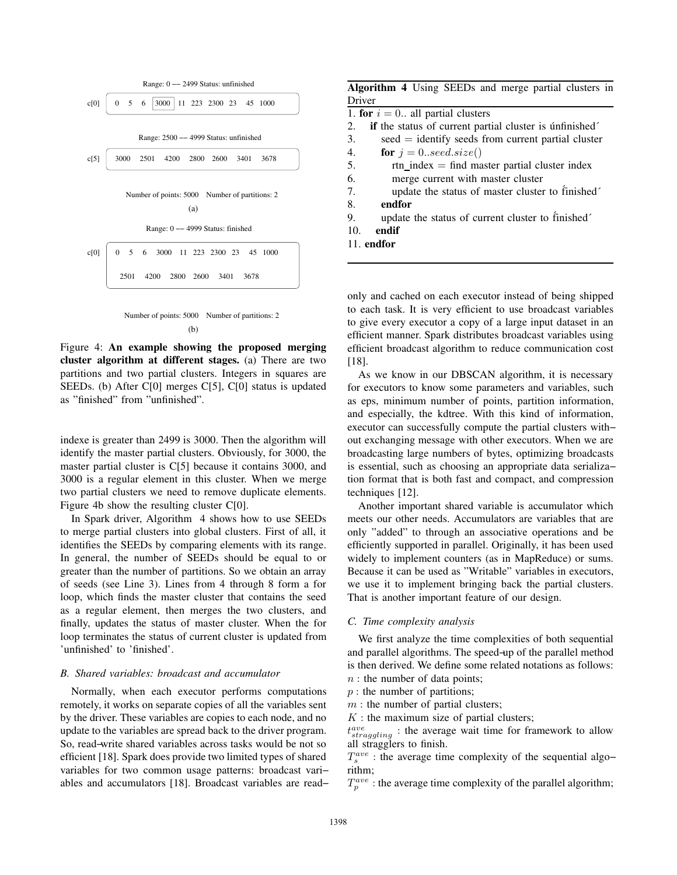



Figure 4: **An example showing the proposed merging cluster algorithm at different stages.** (a) There are two partitions and two partial clusters. Integers in squares are SEEDs. (b) After C[0] merges C[5], C[0] status is updated as "finished" from "unfinished".

indexe is greater than 2499 is 3000. Then the algorithm will identify the master partial clusters. Obviously, for 3000, the master partial cluster is C[5] because it contains 3000, and 3000 is a regular element in this cluster. When we merge two partial clusters we need to remove duplicate elements. Figure 4b show the resulting cluster C[0].

In Spark driver, Algorithm 4 shows how to use SEEDs to merge partial clusters into global clusters. First of all, it identifies the SEEDs by comparing elements with its range. In general, the number of SEEDs should be equal to or greater than the number of partitions. So we obtain an array of seeds (see Line 3). Lines from 4 through 8 form a for loop, which finds the master cluster that contains the seed as a regular element, then merges the two clusters, and finally, updates the status of master cluster. When the for loop terminates the status of current cluster is updated from 'unfinished' to 'finished'.

#### *B. Shared variables: broadcast and accumulator*

Normally, when each executor performs computations remotely, it works on separate copies of all the variables sent by the driver. These variables are copies to each node, and no update to the variables are spread back to the driver program. So, read−write shared variables across tasks would be not so efficient [18]. Spark does provide two limited types of shared variables for two common usage patterns: broadcast vari− ables and accumulators [18]. Broadcast variables are read−

| Algorithm 4 Using SEEDs and merge partial clusters in |  |  |  |  |
|-------------------------------------------------------|--|--|--|--|
| Driver                                                |  |  |  |  |

- 1. **for**  $i = 0$ . all partial clusters
- 2. **if** the status of current partial cluster is *unfinished*<sup>2</sup>
- $3.$  seed  $=$  identify seeds from current partial cluster
- 4. **for**  $j = 0$ .*seed.size*()
- 5.  $rtn\_index = find master partial cluster index$
- 6. merge current with master cluster
- 7. update the status of master cluster to finished<sup>\*</sup>
- 8. **endfor**
- 9. update the status of current cluster to finished<sup>\*</sup>
- 10. **endif**
- 11. **endfor**

only and cached on each executor instead of being shipped to each task. It is very efficient to use broadcast variables to give every executor a copy of a large input dataset in an efficient manner. Spark distributes broadcast variables using efficient broadcast algorithm to reduce communication cost [18].

As we know in our DBSCAN algorithm, it is necessary for executors to know some parameters and variables, such as eps, minimum number of points, partition information, and especially, the kdtree. With this kind of information, executor can successfully compute the partial clusters with− out exchanging message with other executors. When we are broadcasting large numbers of bytes, optimizing broadcasts is essential, such as choosing an appropriate data serializa− tion format that is both fast and compact, and compression techniques [12].

Another important shared variable is accumulator which meets our other needs. Accumulators are variables that are only "added" to through an associative operations and be efficiently supported in parallel. Originally, it has been used widely to implement counters (as in MapReduce) or sums. Because it can be used as "Writable" variables in executors, we use it to implement bringing back the partial clusters. That is another important feature of our design.

#### *C. Time complexity analysis*

We first analyze the time complexities of both sequential and parallel algorithms. The speed−up of the parallel method is then derived. We define some related notations as follows:

- $n:$  the number of data points;
- $p$ : the number of partitions;
- $m$ : the number of partial clusters;
- $K$ : the maximum size of partial clusters;
- $t_{straggling}^{ave}$ : the average wait time for framework to allow all stragglers to finish.
- $T_s^{ave}$  : the average time complexity of the sequential algorithm;
- $T_p^{ave}$  : the average time complexity of the parallel algorithm;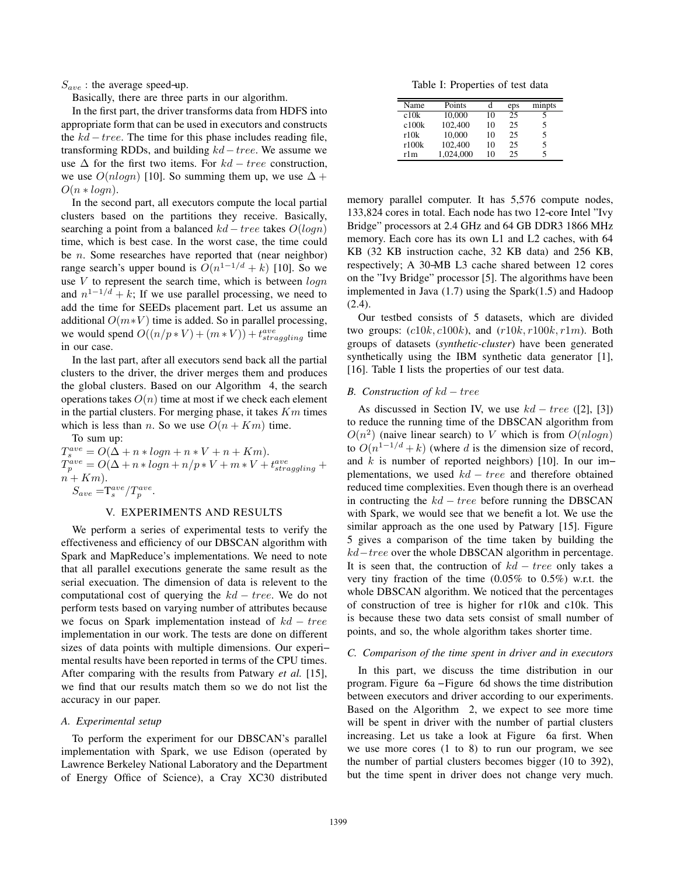$S_{ave}$ : the average speed–up.

Basically, there are three parts in our algorithm.

In the first part, the driver transforms data from HDFS into appropriate form that can be used in executors and constructs the  $kd - tree$ . The time for this phase includes reading file, transforming RDDs, and building  $kd-tree$ . We assume we use  $\Delta$  for the first two items. For  $kd - tree$  construction, we use  $O(n \log n)$  [10]. So summing them up, we use  $\Delta +$  $O(n * log n)$ .

In the second part, all executors compute the local partial clusters based on the partitions they receive. Basically, searching a point from a balanced  $kd - tree$  takes  $O(logn)$ time, which is best case. In the worst case, the time could be  $n$ . Some researches have reported that (near neighbor) range search's upper bound is  $O(n^{1-1/d} + k)$  [10]. So we use  $V$  to represent the search time, which is between  $logn$ and  $n^{1-1/d} + k$ ; If we use parallel processing, we need to add the time for SEEDs placement part. Let us assume an additional  $O(m*V)$  time is added. So in parallel processing, we would spend  $O((n/p*V) + (m*V)) + t^{ave}_{straggling}$  time in our case.

In the last part, after all executors send back all the partial clusters to the driver, the driver merges them and produces the global clusters. Based on our Algorithm 4, the search operations takes  $O(n)$  time at most if we check each element in the partial clusters. For merging phase, it takes  $Km$  times which is less than *n*. So we use  $O(n + Km)$  time.

To sum up:  $T_s^{ave} = O(\Delta + n * log n + n * V + n + Km).$  $T_p^{ave} = O(\Delta + n * log n + n/p * V + m * V + t_{straggling}^{ave} +$  $n + Km$ ).  $S_{ave} = T_s^{ave} / T_p^{ave}.$ 

#### V. EXPERIMENTS AND RESULTS

We perform a series of experimental tests to verify the effectiveness and efficiency of our DBSCAN algorithm with Spark and MapReduce's implementations. We need to note that all parallel executions generate the same result as the serial execuation. The dimension of data is relevent to the computational cost of querying the  $kd - tree$ . We do not perform tests based on varying number of attributes because we focus on Spark implementation instead of  $kd - tree$ implementation in our work. The tests are done on different sizes of data points with multiple dimensions. Our experi− mental results have been reported in terms of the CPU times. After comparing with the results from Patwary *et al.* [15], we find that our results match them so we do not list the accuracy in our paper.

## *A. Experimental setup*

To perform the experiment for our DBSCAN's parallel implementation with Spark, we use Edison (operated by Lawrence Berkeley National Laboratory and the Department of Energy Office of Science), a Cray XC30 distributed

Table I: Properties of test data

| Name  | Points    | d  | eps | minpts |
|-------|-----------|----|-----|--------|
| c10k  | 10.000    | 10 | 25  |        |
| c100k | 102,400   | 10 | 25  | 5      |
| r10k  | 10.000    | 10 | 25  | 5      |
| r100k | 102,400   | 10 | 25  | 5      |
| r1m   | 1.024.000 | 10 | 25  | 5      |

memory parallel computer. It has 5,576 compute nodes, 133,824 cores in total. Each node has two 12−core Intel "Ivy Bridge" processors at 2.4 GHz and 64 GB DDR3 1866 MHz memory. Each core has its own L1 and L2 caches, with 64 KB (32 KB instruction cache, 32 KB data) and 256 KB, respectively; A 30−MB L3 cache shared between 12 cores on the "Ivy Bridge" processor [5]. The algorithms have been implemented in Java (1.7) using the Spark(1.5) and Hadoop  $(2.4).$ 

Our testbed consists of 5 datasets, which are divided two groups:  $(c10k, c100k)$ , and  $(r10k, r100k, r1m)$ . Both groups of datasets (*synthetic-cluster*) have been generated synthetically using the IBM synthetic data generator [1], [16]. Table I lists the properties of our test data.

#### *B. Construction of* kd − tree

As discussed in Section IV, we use  $kd - tree$  ([2], [3]) to reduce the running time of the DBSCAN algorithm from  $O(n^2)$  (naive linear search) to V which is from  $O(n \log n)$ to  $O(n^{1-1/d} + k)$  (where d is the dimension size of record, and  $k$  is number of reported neighbors) [10]. In our implementations, we used  $kd - tree$  and therefore obtained reduced time complexities. Even though there is an overhead in contructing the  $kd - tree$  before running the DBSCAN with Spark, we would see that we benefit a lot. We use the similar approach as the one used by Patwary [15]. Figure 5 gives a comparison of the time taken by building the  $kd-tree$  over the whole DBSCAN algorithm in percentage. It is seen that, the contruction of  $kd - tree$  only takes a very tiny fraction of the time (0.05% to 0.5%) w.r.t. the whole DBSCAN algorithm. We noticed that the percentages of construction of tree is higher for r10k and c10k. This is because these two data sets consist of small number of points, and so, the whole algorithm takes shorter time.

#### *C. Comparison of the time spent in driver and in executors*

In this part, we discuss the time distribution in our program. Figure 6a −Figure 6d shows the time distribution between executors and driver according to our experiments. Based on the Algorithm 2, we expect to see more time will be spent in driver with the number of partial clusters increasing. Let us take a look at Figure 6a first. When we use more cores (1 to 8) to run our program, we see the number of partial clusters becomes bigger (10 to 392), but the time spent in driver does not change very much.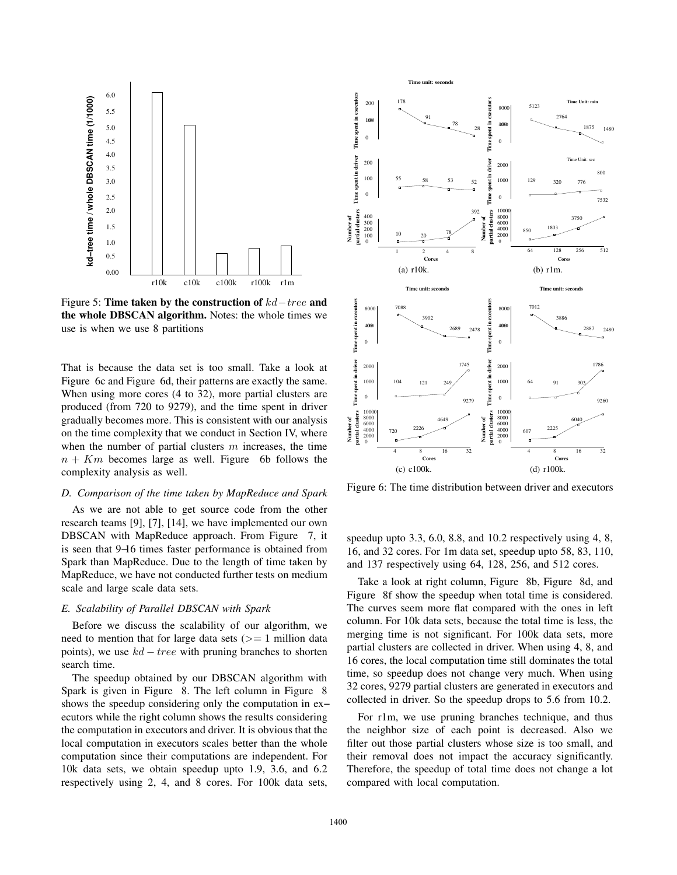

Figure 5: **Time taken by the construction of** kd−tree **and the whole DBSCAN algorithm.** Notes: the whole times we use is when we use 8 partitions

That is because the data set is too small. Take a look at Figure 6c and Figure 6d, their patterns are exactly the same. When using more cores (4 to 32), more partial clusters are produced (from 720 to 9279), and the time spent in driver gradually becomes more. This is consistent with our analysis on the time complexity that we conduct in Section IV, where when the number of partial clusters  $m$  increases, the time  $n + Km$  becomes large as well. Figure 6b follows the complexity analysis as well.

### *D. Comparison of the time taken by MapReduce and Spark*

As we are not able to get source code from the other research teams [9], [7], [14], we have implemented our own DBSCAN with MapReduce approach. From Figure 7, it is seen that 9−16 times faster performance is obtained from Spark than MapReduce. Due to the length of time taken by MapReduce, we have not conducted further tests on medium scale and large scale data sets.

#### *E. Scalability of Parallel DBSCAN with Spark*

Before we discuss the scalability of our algorithm, we need to mention that for large data sets  $(>= 1$  million data points), we use  $kd - tree$  with pruning branches to shorten search time.

The speedup obtained by our DBSCAN algorithm with Spark is given in Figure 8. The left column in Figure 8 shows the speedup considering only the computation in ex− ecutors while the right column shows the results considering the computation in executors and driver. It is obvious that the local computation in executors scales better than the whole computation since their computations are independent. For 10k data sets, we obtain speedup upto 1.9, 3.6, and 6.2 respectively using 2, 4, and 8 cores. For 100k data sets,



Figure 6: The time distribution between driver and executors

speedup upto 3.3, 6.0, 8.8, and 10.2 respectively using 4, 8, 16, and 32 cores. For 1m data set, speedup upto 58, 83, 110, and 137 respectively using 64, 128, 256, and 512 cores.

Take a look at right column, Figure 8b, Figure 8d, and Figure 8f show the speedup when total time is considered. The curves seem more flat compared with the ones in left column. For 10k data sets, because the total time is less, the merging time is not significant. For 100k data sets, more partial clusters are collected in driver. When using 4, 8, and 16 cores, the local computation time still dominates the total time, so speedup does not change very much. When using 32 cores, 9279 partial clusters are generated in executors and collected in driver. So the speedup drops to 5.6 from 10.2.

For r1m, we use pruning branches technique, and thus the neighbor size of each point is decreased. Also we filter out those partial clusters whose size is too small, and their removal does not impact the accuracy significantly. Therefore, the speedup of total time does not change a lot compared with local computation.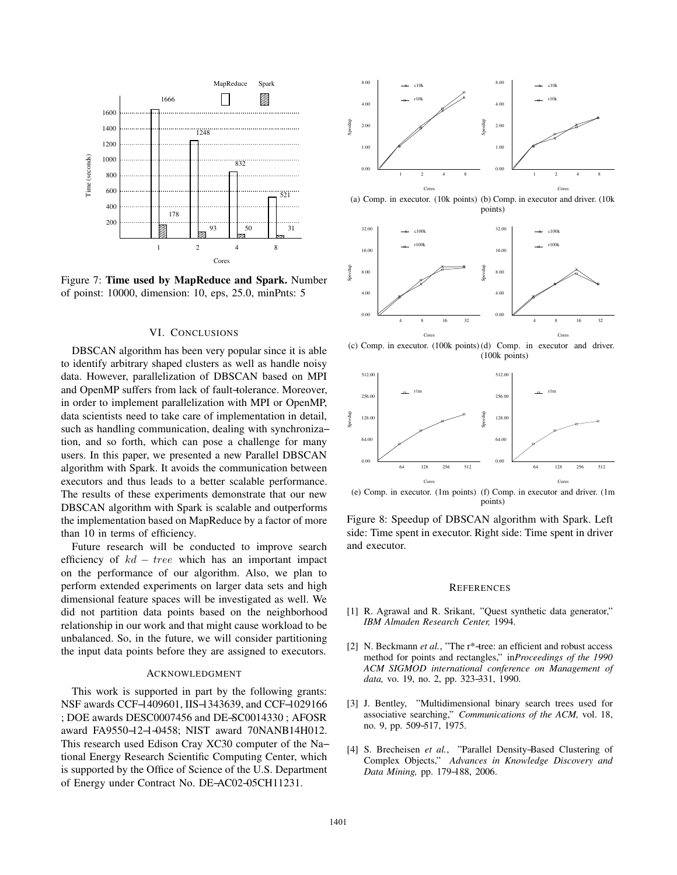

Figure 7: **Time used by MapReduce and Spark.** Number of poinst: 10000, dimension: 10, eps, 25.0, minPnts: 5

## VI. CONCLUSIONS

DBSCAN algorithm has been very popular since it is able to identify arbitrary shaped clusters as well as handle noisy data. However, parallelization of DBSCAN based on MPI and OpenMP suffers from lack of fault−tolerance. Moreover, in order to implement parallelization with MPI or OpenMP, data scientists need to take care of implementation in detail, such as handling communication, dealing with synchroniza− tion, and so forth, which can pose a challenge for many users. In this paper, we presented a new Parallel DBSCAN algorithm with Spark. It avoids the communication between executors and thus leads to a better scalable performance. The results of these experiments demonstrate that our new DBSCAN algorithm with Spark is scalable and outperforms the implementation based on MapReduce by a factor of more than 10 in terms of efficiency.

Future research will be conducted to improve search efficiency of  $kd - tree$  which has an important impact on the performance of our algorithm. Also, we plan to perform extended experiments on larger data sets and high dimensional feature spaces will be investigated as well. We did not partition data points based on the neighborhood relationship in our work and that might cause workload to be unbalanced. So, in the future, we will consider partitioning the input data points before they are assigned to executors.

#### ACKNOWLEDGMENT

This work is supported in part by the following grants: NSF awards CCF−1409601, IIS−1343639, and CCF−1029166 ; DOE awards DESC0007456 and DE−SC0014330 ; AFOSR award FA9550−12−1−0458; NIST award 70NANB14H012. This research used Edison Cray XC30 computer of the Na− tional Energy Research Scientific Computing Center, which is supported by the Office of Science of the U.S. Department of Energy under Contract No. DE−AC02−05CH11231.



(a) Comp. in executor. (10k points) (b) Comp. in executor and driver. (10k points)



(c) Comp. in executor. (100k points) (d) Comp. in executor and driver. (100k points)



(e) Comp. in executor. (1m points) (f) Comp. in executor and driver. (1m points)

Figure 8: Speedup of DBSCAN algorithm with Spark. Left side: Time spent in executor. Right side: Time spent in driver and executor.

## **REFERENCES**

- [1] R. Agrawal and R. Srikant, "Quest synthetic data generator," *IBM Almaden Research Center,* 1994.
- [2] N. Beckmann *et al.*, "The r<sup>\*</sup>-tree: an efficient and robust access method for points and rectangles," in*Proceedings of the 1990 ACM SIGMOD international conference on Management of data,* vo. 19, no. 2, pp. 323−331, 1990.
- [3] J. Bentley, "Multidimensional binary search trees used for associative searching," *Communications of the ACM,* vol. 18, no. 9, pp. 509−517, 1975.
- [4] S. Brecheisen *et al.*, "Parallel Density−Based Clustering of Complex Objects," *Advances in Knowledge Discovery and Data Mining,* pp. 179−188, 2006.